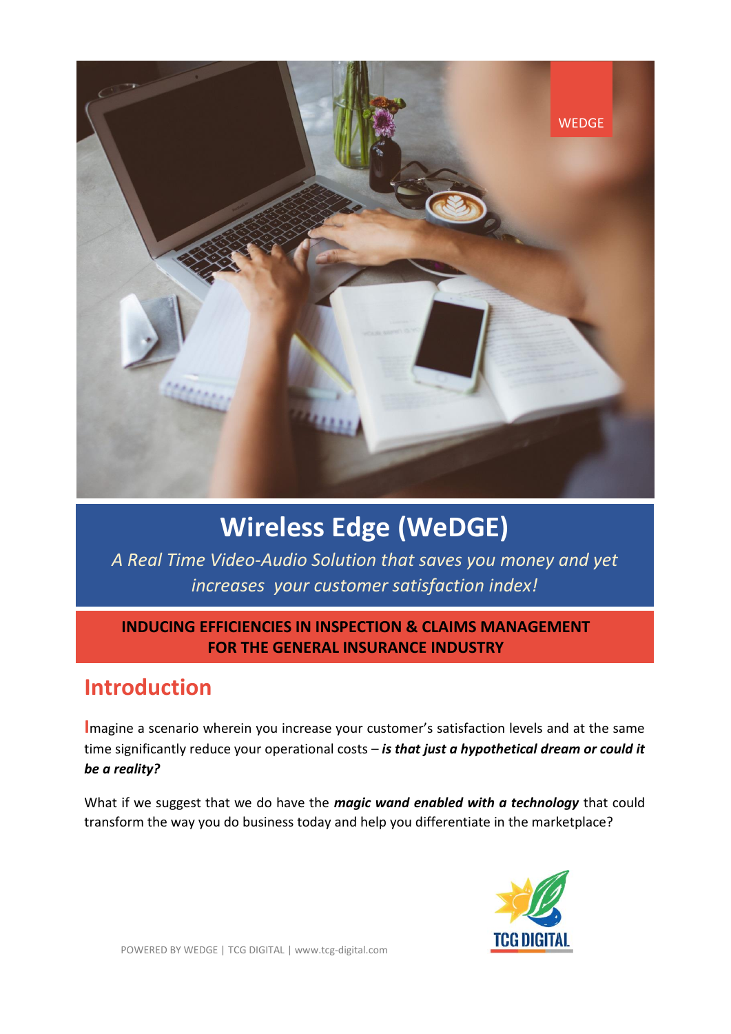

# **Wireless Edge (WeDGE)**

*A Real Time Video-Audio Solution that saves you money and yet increases your customer satisfaction index!*

#### **INDUCING EFFICIENCIES IN INSPECTION & CLAIMS MANAGEMENT FOR THE GENERAL INSURANCE INDUSTRY**

## **Introduction**

**I**magine a scenario wherein you increase your customer's satisfaction levels and at the same time significantly reduce your operational costs – *is that just a hypothetical dream or could it be a reality?*

What if we suggest that we do have the *magic wand enabled with a technology* that could transform the way you do business today and help you differentiate in the marketplace?

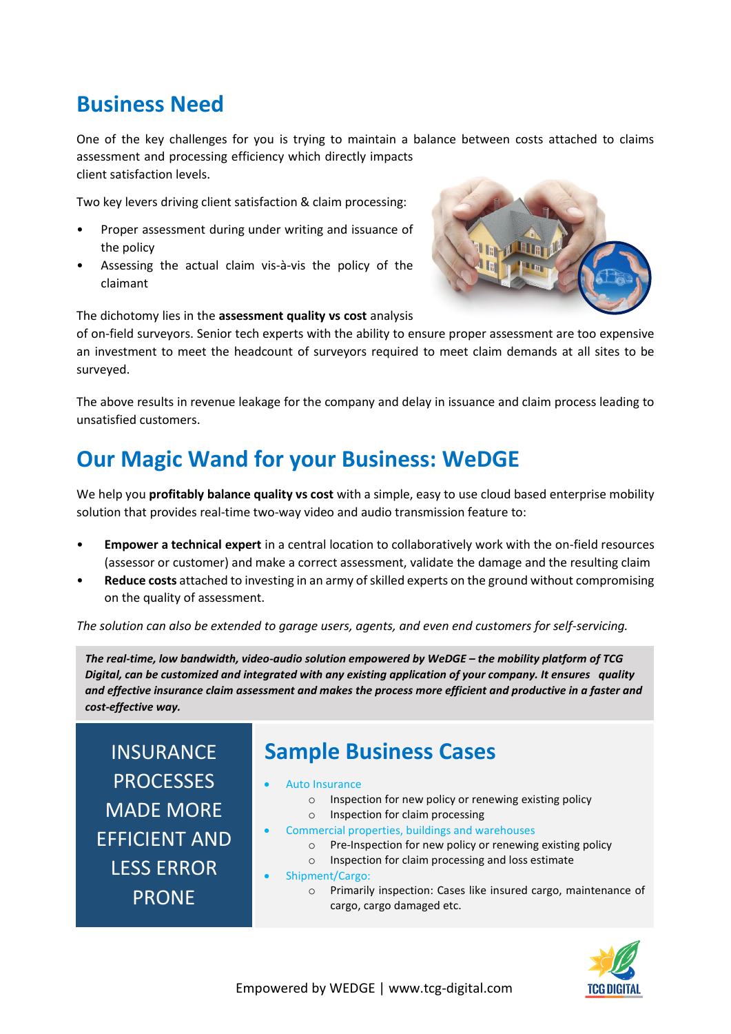### **Business Need**

One of the key challenges for you is trying to maintain a balance between costs attached to claims assessment and processing efficiency which directly impacts client satisfaction levels.

Two key levers driving client satisfaction & claim processing:

- Proper assessment during under writing and issuance of the policy
- Assessing the actual claim vis-à-vis the policy of the claimant



The dichotomy lies in the **assessment quality vs cost** analysis

of on-field surveyors. Senior tech experts with the ability to ensure proper assessment are too expensive an investment to meet the headcount of surveyors required to meet claim demands at all sites to be surveyed.

The above results in revenue leakage for the company and delay in issuance and claim process leading to unsatisfied customers.

# **Our Magic Wand for your Business: WeDGE**

We help you **profitably balance quality vs cost** with a simple, easy to use cloud based enterprise mobility solution that provides real-time two-way video and audio transmission feature to:

- **Empower a technical expert** in a central location to collaboratively work with the on-field resources (assessor or customer) and make a correct assessment, validate the damage and the resulting claim
- **Reduce costs** attached to investing in an army of skilled experts on the ground without compromising on the quality of assessment.

*The solution can also be extended to garage users, agents, and even end customers for self-servicing.*

*The real-time, low bandwidth, video-audio solution empowered by WeDGE – the mobility platform of TCG Digital, can be customized and integrated with any existing application of your company. It ensures quality and effective insurance claim assessment and makes the process more efficient and productive in a faster and cost-effective way.* 

INSURANCE PROCESSES MADE MORE EFFICIENT AND LESS ERROR PRONE

### **Sample Business Cases**

- Auto Insurance
	- o Inspection for new policy or renewing existing policy
	- o Inspection for claim processing
	- Commercial properties, buildings and warehouses
		- o Pre-Inspection for new policy or renewing existing policy o Inspection for claim processing and loss estimate
- Shipment/Cargo:
	- o Primarily inspection: Cases like insured cargo, maintenance of cargo, cargo damaged etc.

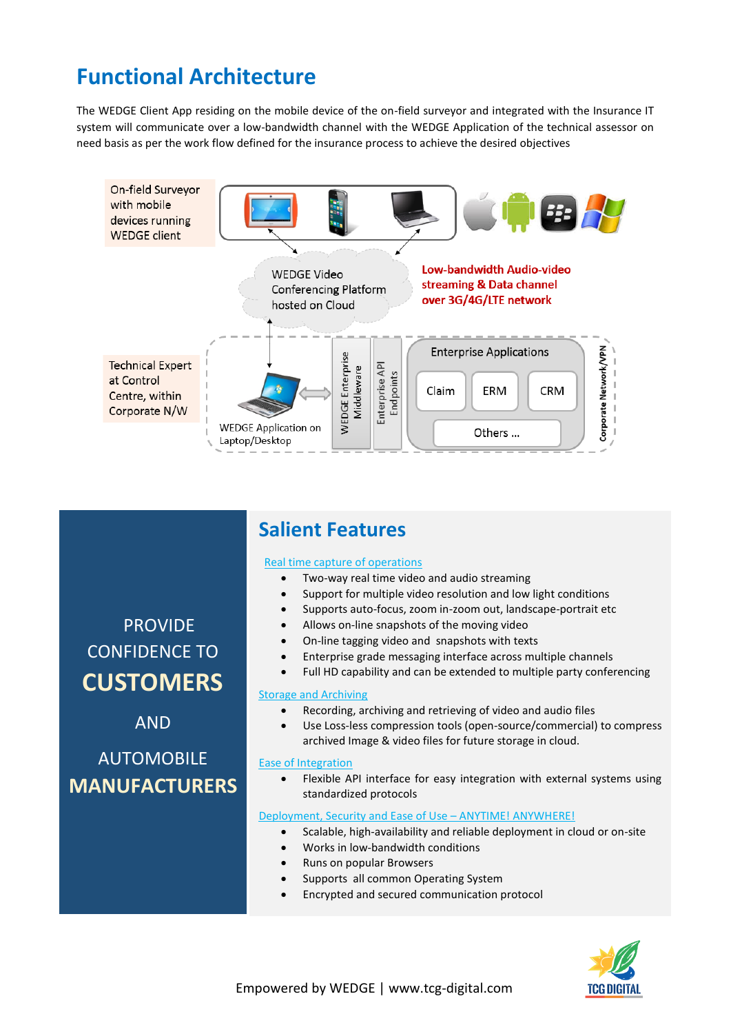# **Functional Architecture**

The WEDGE Client App residing on the mobile device of the on-field surveyor and integrated with the Insurance IT system will communicate over a low-bandwidth channel with the WEDGE Application of the technical assessor on need basis as per the work flow defined for the insurance process to achieve the desired objectives



### **Salient Features**

#### Real time capture of operations

- Two-way real time video and audio streaming
- Support for multiple video resolution and low light conditions
- Supports auto-focus, zoom in-zoom out, landscape-portrait etc
- Allows on-line snapshots of the moving video
- On-line tagging video and snapshots with texts
- Enterprise grade messaging interface across multiple channels
- Full HD capability and can be extended to multiple party conferencing

#### Storage and Archiving

- Recording, archiving and retrieving of video and audio files
- Use Loss-less compression tools (open-source/commercial) to compress archived Image & video files for future storage in cloud.

#### Ease of Integration

 Flexible API interface for easy integration with external systems using standardized protocols

#### Deployment, Security and Ease of Use – ANYTIME! ANYWHERE!

- Scalable, high-availability and reliable deployment in cloud or on-site
- Works in low-bandwidth conditions
- Runs on popular Browsers
- Supports all common Operating System
- Encrypted and secured communication protocol



# CONFIDENCE TO **CUSTOMERS** AND

PROVIDE

AUTOMOBILE **MANUFACTURERS**